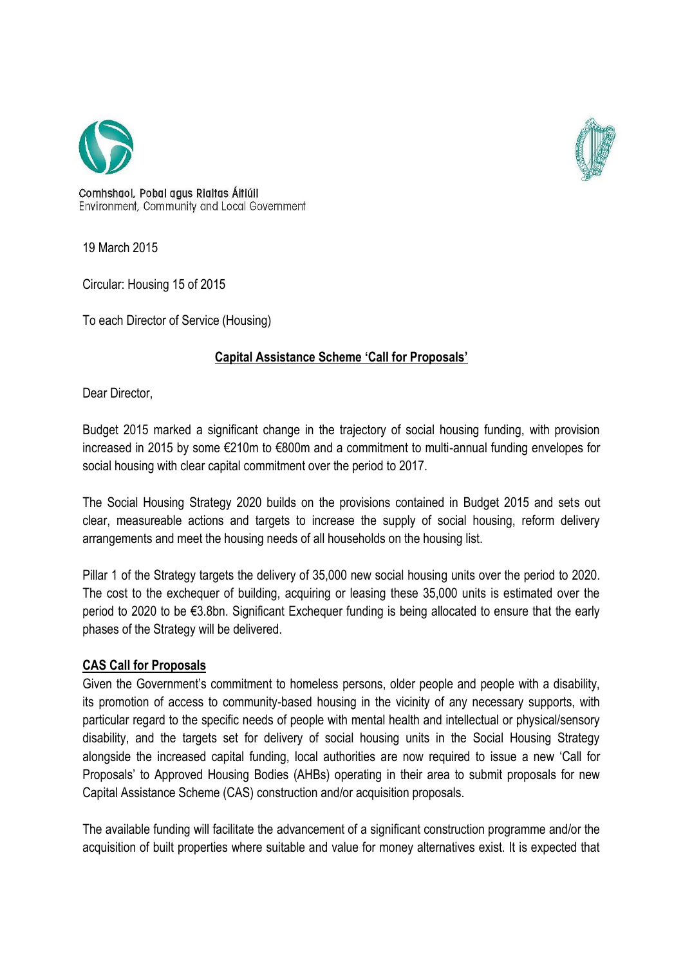



Comhshaol, Pobal agus Rialtas Áitiúil Environment, Community and Local Government

19 March 2015

Circular: Housing 15 of 2015

To each Director of Service (Housing)

# **Capital Assistance Scheme 'Call for Proposals'**

Dear Director,

Budget 2015 marked a significant change in the trajectory of social housing funding, with provision increased in 2015 by some €210m to €800m and a commitment to multi-annual funding envelopes for social housing with clear capital commitment over the period to 2017.

The Social Housing Strategy 2020 builds on the provisions contained in Budget 2015 and sets out clear, measureable actions and targets to increase the supply of social housing, reform delivery arrangements and meet the housing needs of all households on the housing list.

Pillar 1 of the Strategy targets the delivery of 35,000 new social housing units over the period to 2020. The cost to the exchequer of building, acquiring or leasing these 35,000 units is estimated over the period to 2020 to be €3.8bn. Significant Exchequer funding is being allocated to ensure that the early phases of the Strategy will be delivered.

## **CAS Call for Proposals**

Given the Government's commitment to homeless persons, older people and people with a disability, its promotion of access to community-based housing in the vicinity of any necessary supports, with particular regard to the specific needs of people with mental health and intellectual or physical/sensory disability, and the targets set for delivery of social housing units in the Social Housing Strategy alongside the increased capital funding, local authorities are now required to issue a new 'Call for Proposals' to Approved Housing Bodies (AHBs) operating in their area to submit proposals for new Capital Assistance Scheme (CAS) construction and/or acquisition proposals.

The available funding will facilitate the advancement of a significant construction programme and/or the acquisition of built properties where suitable and value for money alternatives exist. It is expected that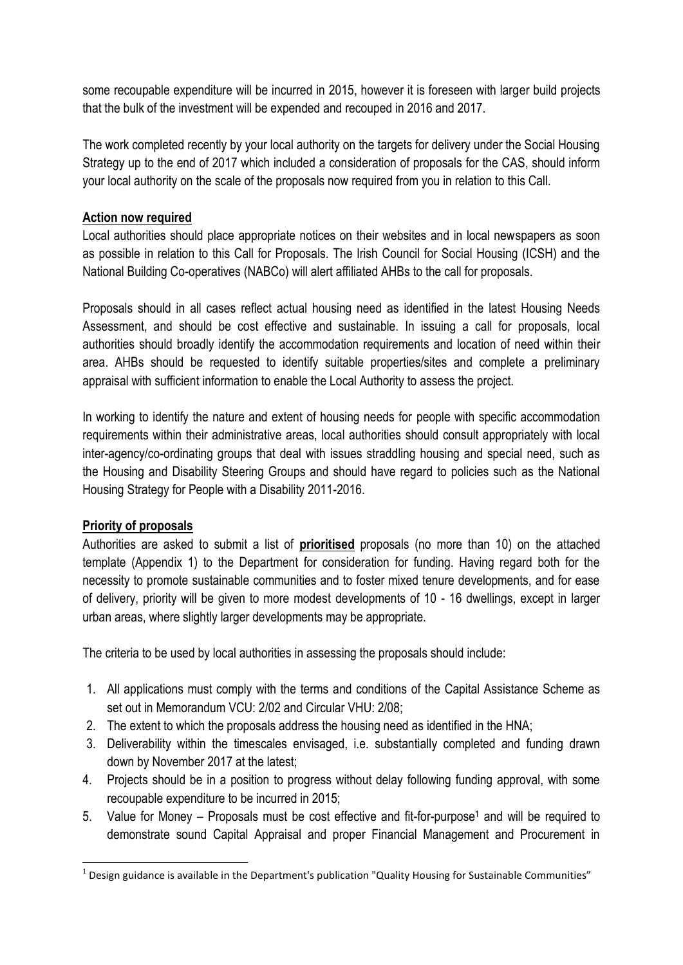some recoupable expenditure will be incurred in 2015, however it is foreseen with larger build projects that the bulk of the investment will be expended and recouped in 2016 and 2017.

The work completed recently by your local authority on the targets for delivery under the Social Housing Strategy up to the end of 2017 which included a consideration of proposals for the CAS, should inform your local authority on the scale of the proposals now required from you in relation to this Call.

#### **Action now required**

Local authorities should place appropriate notices on their websites and in local newspapers as soon as possible in relation to this Call for Proposals. The Irish Council for Social Housing (ICSH) and the National Building Co-operatives (NABCo) will alert affiliated AHBs to the call for proposals.

Proposals should in all cases reflect actual housing need as identified in the latest Housing Needs Assessment, and should be cost effective and sustainable. In issuing a call for proposals, local authorities should broadly identify the accommodation requirements and location of need within their area. AHBs should be requested to identify suitable properties/sites and complete a preliminary appraisal with sufficient information to enable the Local Authority to assess the project.

In working to identify the nature and extent of housing needs for people with specific accommodation requirements within their administrative areas, local authorities should consult appropriately with local inter-agency/co-ordinating groups that deal with issues straddling housing and special need, such as the Housing and Disability Steering Groups and should have regard to policies such as the National Housing Strategy for People with a Disability 2011-2016.

## **Priority of proposals**

Authorities are asked to submit a list of **prioritised** proposals (no more than 10) on the attached template (Appendix 1) to the Department for consideration for funding. Having regard both for the necessity to promote sustainable communities and to foster mixed tenure developments, and for ease of delivery, priority will be given to more modest developments of 10 - 16 dwellings, except in larger urban areas, where slightly larger developments may be appropriate.

The criteria to be used by local authorities in assessing the proposals should include:

- 1. All applications must comply with the terms and conditions of the Capital Assistance Scheme as set out in Memorandum VCU: 2/02 and Circular VHU: 2/08;
- 2. The extent to which the proposals address the housing need as identified in the HNA;
- 3. Deliverability within the timescales envisaged, i.e. substantially completed and funding drawn down by November 2017 at the latest;
- 4. Projects should be in a position to progress without delay following funding approval, with some recoupable expenditure to be incurred in 2015;
- 5. Value for Money Proposals must be cost effective and fit-for-purpose<sup>1</sup> and will be required to demonstrate sound Capital Appraisal and proper Financial Management and Procurement in

**<sup>.</sup>**  $<sup>1</sup>$  Design guidance is available in the Department's publication "Quality Housing for Sustainable Communities"</sup>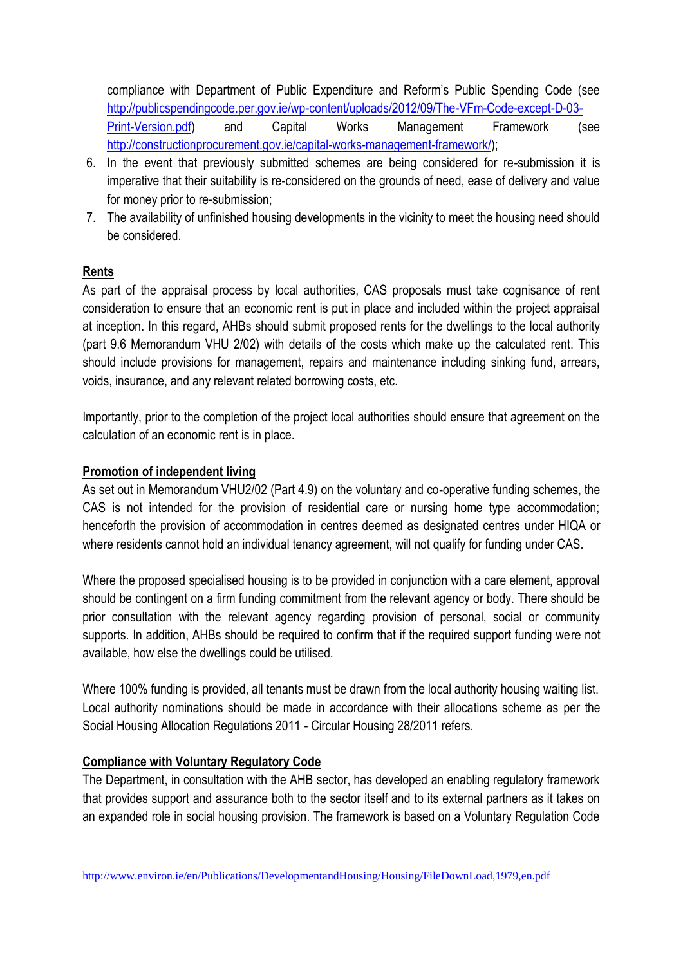compliance with Department of Public Expenditure and Reform's Public Spending Code (see [http://publicspendingcode.per.gov.ie/wp-content/uploads/2012/09/The-VFm-Code-except-D-03-](http://publicspendingcode.per.gov.ie/wp-content/uploads/2012/09/The-VFm-Code-except-D-03-Print-Version.pdf) [Print-Version.pdf\)](http://publicspendingcode.per.gov.ie/wp-content/uploads/2012/09/The-VFm-Code-except-D-03-Print-Version.pdf) and Capital Works Management Framework (see [http://constructionprocurement.gov.ie/capital-works-management-framework/\)](http://constructionprocurement.gov.ie/capital-works-management-framework/);

- 6. In the event that previously submitted schemes are being considered for re-submission it is imperative that their suitability is re-considered on the grounds of need, ease of delivery and value for money prior to re-submission;
- 7. The availability of unfinished housing developments in the vicinity to meet the housing need should be considered.

## **Rents**

**.** 

As part of the appraisal process by local authorities, CAS proposals must take cognisance of rent consideration to ensure that an economic rent is put in place and included within the project appraisal at inception. In this regard, AHBs should submit proposed rents for the dwellings to the local authority (part 9.6 Memorandum VHU 2/02) with details of the costs which make up the calculated rent. This should include provisions for management, repairs and maintenance including sinking fund, arrears, voids, insurance, and any relevant related borrowing costs, etc.

Importantly, prior to the completion of the project local authorities should ensure that agreement on the calculation of an economic rent is in place.

## **Promotion of independent living**

As set out in Memorandum VHU2/02 (Part 4.9) on the voluntary and co-operative funding schemes, the CAS is not intended for the provision of residential care or nursing home type accommodation; henceforth the provision of accommodation in centres deemed as designated centres under HIQA or where residents cannot hold an individual tenancy agreement, will not qualify for funding under CAS.

Where the proposed specialised housing is to be provided in conjunction with a care element, approval should be contingent on a firm funding commitment from the relevant agency or body. There should be prior consultation with the relevant agency regarding provision of personal, social or community supports. In addition, AHBs should be required to confirm that if the required support funding were not available, how else the dwellings could be utilised.

Where 100% funding is provided, all tenants must be drawn from the local authority housing waiting list. Local authority nominations should be made in accordance with their allocations scheme as per the Social Housing Allocation Regulations 2011 - Circular Housing 28/2011 refers.

## **Compliance with Voluntary Regulatory Code**

The Department, in consultation with the AHB sector, has developed an enabling regulatory framework that provides support and assurance both to the sector itself and to its external partners as it takes on an expanded role in social housing provision. The framework is based on a Voluntary Regulation Code

<http://www.environ.ie/en/Publications/DevelopmentandHousing/Housing/FileDownLoad,1979,en.pdf>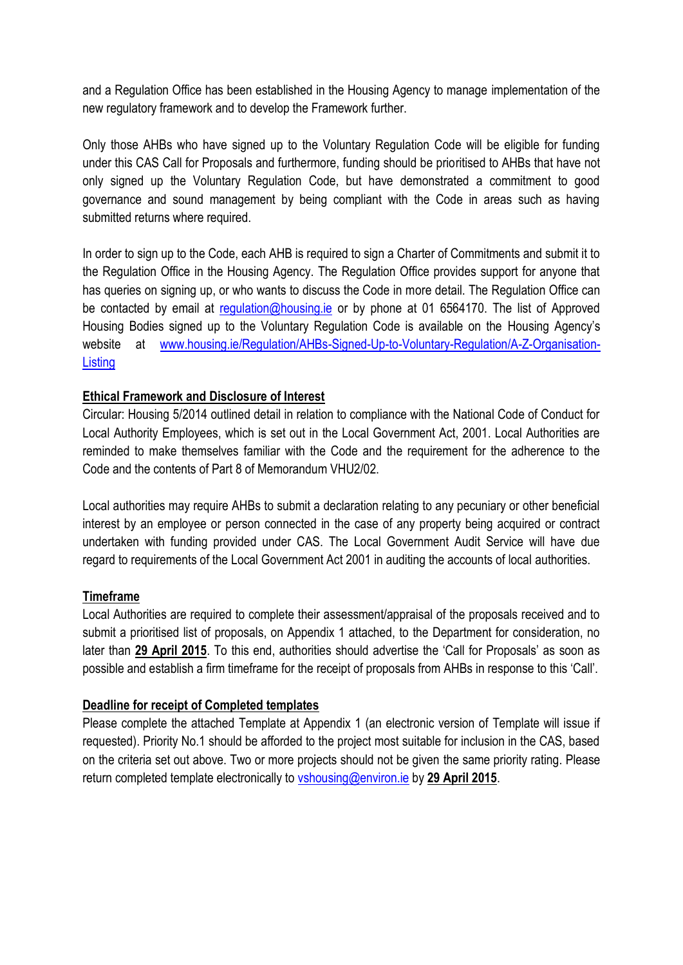and a Regulation Office has been established in the Housing Agency to manage implementation of the new regulatory framework and to develop the Framework further.

Only those AHBs who have signed up to the Voluntary Regulation Code will be eligible for funding under this CAS Call for Proposals and furthermore, funding should be prioritised to AHBs that have not only signed up the Voluntary Regulation Code, but have demonstrated a commitment to good governance and sound management by being compliant with the Code in areas such as having submitted returns where required.

In order to sign up to the Code, each AHB is required to sign a Charter of Commitments and submit it to the Regulation Office in the Housing Agency. The Regulation Office provides support for anyone that has queries on signing up, or who wants to discuss the Code in more detail. The Regulation Office can be contacted by email at [regulation@housing.ie](mailto:regulation@housing.ie) or by phone at 01 6564170. The list of Approved Housing Bodies signed up to the Voluntary Regulation Code is available on the Housing Agency's website at [www.housing.ie/Regulation/AHBs-Signed-Up-to-Voluntary-Regulation/A-Z-Organisation-](http://www.housing.ie/Regulation/AHBs-Signed-Up-to-Voluntary-Regulation/A-Z-Organisation-Listing)**[Listing](http://www.housing.ie/Regulation/AHBs-Signed-Up-to-Voluntary-Regulation/A-Z-Organisation-Listing)** 

#### **Ethical Framework and Disclosure of Interest**

Circular: Housing 5/2014 outlined detail in relation to compliance with the National Code of Conduct for Local Authority Employees, which is set out in the Local Government Act, 2001. Local Authorities are reminded to make themselves familiar with the Code and the requirement for the adherence to the Code and the contents of Part 8 of Memorandum VHU2/02.

Local authorities may require AHBs to submit a declaration relating to any pecuniary or other beneficial interest by an employee or person connected in the case of any property being acquired or contract undertaken with funding provided under CAS. The Local Government Audit Service will have due regard to requirements of the Local Government Act 2001 in auditing the accounts of local authorities.

#### **Timeframe**

Local Authorities are required to complete their assessment/appraisal of the proposals received and to submit a prioritised list of proposals, on Appendix 1 attached, to the Department for consideration, no later than **29 April 2015**. To this end, authorities should advertise the 'Call for Proposals' as soon as possible and establish a firm timeframe for the receipt of proposals from AHBs in response to this 'Call'.

#### **Deadline for receipt of Completed templates**

Please complete the attached Template at Appendix 1 (an electronic version of Template will issue if requested). Priority No.1 should be afforded to the project most suitable for inclusion in the CAS, based on the criteria set out above. Two or more projects should not be given the same priority rating. Please return completed template electronically to [vshousing@environ.ie](mailto:vshousing@environ.ie) by **29 April 2015**.